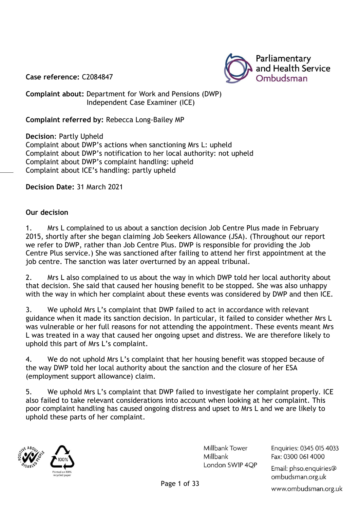

**Case reference:** C2084847

**Complaint about:** Department for Work and Pensions (DWP) Independent Case Examiner (ICE)

**Complaint referred by:** Rebecca Long-Bailey MP

**Decision**: Partly Upheld Complaint about DWP's actions when sanctioning Mrs L: upheld Complaint about DWP's notification to her local authority: not upheld Complaint about DWP's complaint handling: upheld Complaint about ICE's handling: partly upheld

**Decision Date:** 31 March 2021

#### **Our decision**

1. Mrs L complained to us about a sanction decision Job Centre Plus made in February 2015, shortly after she began claiming Job Seekers Allowance (JSA). (Throughout our report we refer to DWP, rather than Job Centre Plus. DWP is responsible for providing the Job Centre Plus service.) She was sanctioned after failing to attend her first appointment at the job centre. The sanction was later overturned by an appeal tribunal.

2. Mrs L also complained to us about the way in which DWP told her local authority about that decision. She said that caused her housing benefit to be stopped. She was also unhappy with the way in which her complaint about these events was considered by DWP and then ICE.

3. We uphold Mrs L's complaint that DWP failed to act in accordance with relevant guidance when it made its sanction decision. In particular, it failed to consider whether Mrs L was vulnerable or her full reasons for not attending the appointment. These events meant Mrs L was treated in a way that caused her ongoing upset and distress. We are therefore likely to uphold this part of Mrs L's complaint.

4. We do not uphold Mrs L's complaint that her housing benefit was stopped because of the way DWP told her local authority about the sanction and the closure of her ESA (employment support allowance) claim.

5. We uphold Mrs L's complaint that DWP failed to investigate her complaint properly. ICE also failed to take relevant considerations into account when looking at her complaint. This poor complaint handling has caused ongoing distress and upset to Mrs L and we are likely to uphold these parts of her complaint.





Millbank Tower Millbank London SWIP 4QP Enguiries: 0345 015 4033 Fax: 0300 061 4000

Email: phso.enquiries@ ombudsman.org.uk

www.ombudsman.org.uk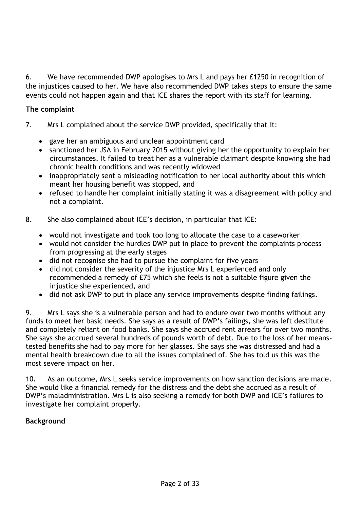6. We have recommended DWP apologises to Mrs L and pays her £1250 in recognition of the injustices caused to her. We have also recommended DWP takes steps to ensure the same events could not happen again and that ICE shares the report with its staff for learning.

## **The complaint**

- 7. Mrs L complained about the service DWP provided, specifically that it:
	- gave her an ambiguous and unclear appointment card
	- sanctioned her JSA in February 2015 without giving her the opportunity to explain her circumstances. It failed to treat her as a vulnerable claimant despite knowing she had chronic health conditions and was recently widowed
	- inappropriately sent a misleading notification to her local authority about this which meant her housing benefit was stopped, and
	- refused to handle her complaint initially stating it was a disagreement with policy and not a complaint.
- 8. She also complained about ICE's decision, in particular that ICE:
	- would not investigate and took too long to allocate the case to a caseworker
	- would not consider the hurdles DWP put in place to prevent the complaints process from progressing at the early stages
	- did not recognise she had to pursue the complaint for five years
	- did not consider the severity of the injustice Mrs L experienced and only recommended a remedy of £75 which she feels is not a suitable figure given the injustice she experienced, and
	- did not ask DWP to put in place any service improvements despite finding failings.

9. Mrs L says she is a vulnerable person and had to endure over two months without any funds to meet her basic needs. She says as a result of DWP's failings, she was left destitute and completely reliant on food banks. She says she accrued rent arrears for over two months. She says she accrued several hundreds of pounds worth of debt. Due to the loss of her meanstested benefits she had to pay more for her glasses. She says she was distressed and had a mental health breakdown due to all the issues complained of. She has told us this was the most severe impact on her.

10. As an outcome, Mrs L seeks service improvements on how sanction decisions are made. She would like a financial remedy for the distress and the debt she accrued as a result of DWP's maladministration. Mrs L is also seeking a remedy for both DWP and ICE's failures to investigate her complaint properly.

## **Background**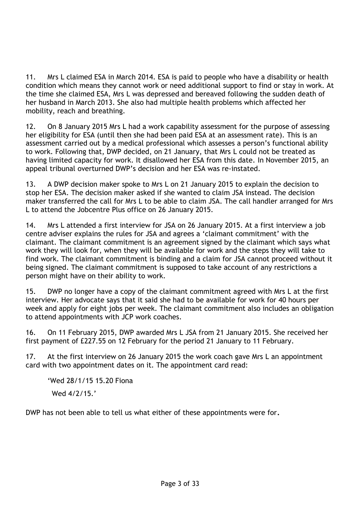11. Mrs L claimed ESA in March 2014. ESA is paid to people who have a disability or health condition which means they cannot work or need additional support to find or stay in work. At the time she claimed ESA, Mrs L was depressed and bereaved following the sudden death of her husband in March 2013. She also had multiple health problems which affected her mobility, reach and breathing.

12. On 8 January 2015 Mrs L had a work capability assessment for the purpose of assessing her eligibility for ESA (until then she had been paid ESA at an assessment rate). This is an assessment carried out by a medical professional which assesses a person's functional ability to work. Following that, DWP decided, on 21 January, that Mrs L could not be treated as having limited capacity for work. It disallowed her ESA from this date. In November 2015, an appeal tribunal overturned DWP's decision and her ESA was re-instated.

13. A DWP decision maker spoke to Mrs L on 21 January 2015 to explain the decision to stop her ESA. The decision maker asked if she wanted to claim JSA instead. The decision maker transferred the call for Mrs L to be able to claim JSA. The call handler arranged for Mrs L to attend the Jobcentre Plus office on 26 January 2015.

14. Mrs L attended a first interview for JSA on 26 January 2015. At a first interview a job centre adviser explains the rules for JSA and agrees a 'claimant commitment' with the claimant. The claimant commitment is an agreement signed by the claimant which says what work they will look for, when they will be available for work and the steps they will take to find work. The claimant commitment is binding and a claim for JSA cannot proceed without it being signed. The claimant commitment is supposed to take account of any restrictions a person might have on their ability to work.

15. DWP no longer have a copy of the claimant commitment agreed with Mrs L at the first interview. Her advocate says that it said she had to be available for work for 40 hours per week and apply for eight jobs per week. The claimant commitment also includes an obligation to attend appointments with JCP work coaches.

16. On 11 February 2015, DWP awarded Mrs L JSA from 21 January 2015. She received her first payment of £227.55 on 12 February for the period 21 January to 11 February.

17. At the first interview on 26 January 2015 the work coach gave Mrs L an appointment card with two appointment dates on it. The appointment card read:

'Wed 28/1/15 15.20 Fiona Wed 4/2/15.'

DWP has not been able to tell us what either of these appointments were for**.**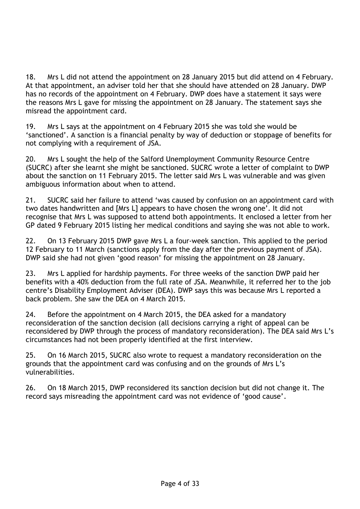18. Mrs L did not attend the appointment on 28 January 2015 but did attend on 4 February. At that appointment, an adviser told her that she should have attended on 28 January. DWP has no records of the appointment on 4 February. DWP does have a statement it says were the reasons Mrs L gave for missing the appointment on 28 January. The statement says she misread the appointment card.

19. Mrs L says at the appointment on 4 February 2015 she was told she would be 'sanctioned'. A sanction is a financial penalty by way of deduction or stoppage of benefits for not complying with a requirement of JSA.

20. Mrs L sought the help of the Salford Unemployment Community Resource Centre (SUCRC) after she learnt she might be sanctioned. SUCRC wrote a letter of complaint to DWP about the sanction on 11 February 2015. The letter said Mrs L was vulnerable and was given ambiguous information about when to attend.

21. SUCRC said her failure to attend 'was caused by confusion on an appointment card with two dates handwritten and [Mrs L] appears to have chosen the wrong one'. It did not recognise that Mrs L was supposed to attend both appointments. It enclosed a letter from her GP dated 9 February 2015 listing her medical conditions and saying she was not able to work.

22. On 13 February 2015 DWP gave Mrs L a four-week sanction. This applied to the period 12 February to 11 March (sanctions apply from the day after the previous payment of JSA). DWP said she had not given 'good reason' for missing the appointment on 28 January.

23. Mrs L applied for hardship payments. For three weeks of the sanction DWP paid her benefits with a 40% deduction from the full rate of JSA. Meanwhile, it referred her to the job centre's Disability Employment Adviser (DEA). DWP says this was because Mrs L reported a back problem. She saw the DEA on 4 March 2015.

24. Before the appointment on 4 March 2015, the DEA asked for a mandatory reconsideration of the sanction decision (all decisions carrying a right of appeal can be reconsidered by DWP through the process of mandatory reconsideration). The DEA said Mrs L's circumstances had not been properly identified at the first interview.

25. On 16 March 2015, SUCRC also wrote to request a mandatory reconsideration on the grounds that the appointment card was confusing and on the grounds of Mrs L's vulnerabilities.

26. On 18 March 2015, DWP reconsidered its sanction decision but did not change it. The record says misreading the appointment card was not evidence of 'good cause'.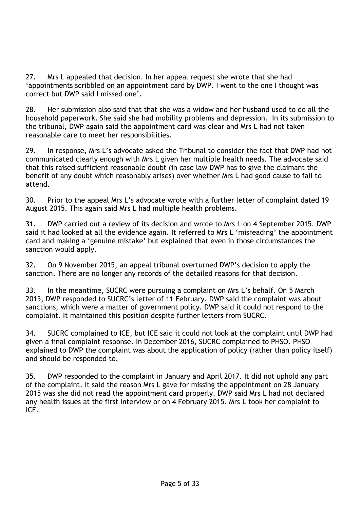27. Mrs L appealed that decision. In her appeal request she wrote that she had 'appointments scribbled on an appointment card by DWP. I went to the one I thought was correct but DWP said I missed one'.

28. Her submission also said that that she was a widow and her husband used to do all the household paperwork. She said she had mobility problems and depression. In its submission to the tribunal, DWP again said the appointment card was clear and Mrs L had not taken reasonable care to meet her responsibilities.

29. In response, Mrs L's advocate asked the Tribunal to consider the fact that DWP had not communicated clearly enough with Mrs L given her multiple health needs. The advocate said that this raised sufficient reasonable doubt (in case law DWP has to give the claimant the benefit of any doubt which reasonably arises) over whether Mrs L had good cause to fail to attend.

30. Prior to the appeal Mrs L's advocate wrote with a further letter of complaint dated 19 August 2015. This again said Mrs L had multiple health problems.

31. DWP carried out a review of its decision and wrote to Mrs L on 4 September 2015. DWP said it had looked at all the evidence again. It referred to Mrs L 'misreading' the appointment card and making a 'genuine mistake' but explained that even in those circumstances the sanction would apply.

32. On 9 November 2015, an appeal tribunal overturned DWP's decision to apply the sanction. There are no longer any records of the detailed reasons for that decision.

33. In the meantime, SUCRC were pursuing a complaint on Mrs L's behalf. On 5 March 2015, DWP responded to SUCRC's letter of 11 February. DWP said the complaint was about sanctions, which were a matter of government policy. DWP said it could not respond to the complaint. It maintained this position despite further letters from SUCRC.

34. SUCRC complained to ICE, but ICE said it could not look at the complaint until DWP had given a final complaint response. In December 2016, SUCRC complained to PHSO. PHSO explained to DWP the complaint was about the application of policy (rather than policy itself) and should be responded to.

35. DWP responded to the complaint in January and April 2017. It did not uphold any part of the complaint. It said the reason Mrs L gave for missing the appointment on 28 January 2015 was she did not read the appointment card properly. DWP said Mrs L had not declared any health issues at the first interview or on 4 February 2015. Mrs L took her complaint to ICE.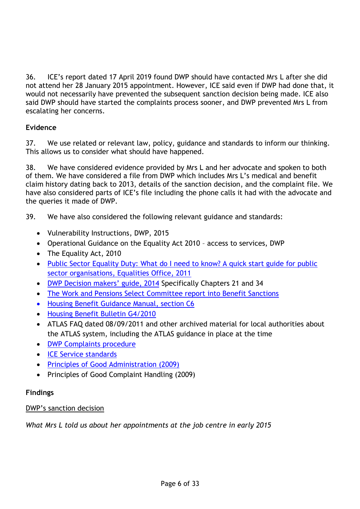36. ICE's report dated 17 April 2019 found DWP should have contacted Mrs L after she did not attend her 28 January 2015 appointment. However, ICE said even if DWP had done that, it would not necessarily have prevented the subsequent sanction decision being made. ICE also said DWP should have started the complaints process sooner, and DWP prevented Mrs L from escalating her concerns.

# **Evidence**

37. We use related or relevant law, policy, guidance and standards to inform our thinking. This allows us to consider what should have happened.

38. We have considered evidence provided by Mrs L and her advocate and spoken to both of them. We have considered a file from DWP which includes Mrs L's medical and benefit claim history dating back to 2013, details of the sanction decision, and the complaint file. We have also considered parts of ICE's file including the phone calls it had with the advocate and the queries it made of DWP.

39. We have also considered the following relevant guidance and standards:

- Vulnerability Instructions, DWP, 2015
- Operational Guidance on the Equality Act 2010 access to services, DWP
- The Equality Act, 2010
- [Public Sector Equality Duty: What do I need to know? A quick start guide for public](https://www.gov.uk/government/publications/public-sector-quick-start-guide-to-the-public-sector-equality-duty)  [sector organisations, Equalities Office, 2011](https://www.gov.uk/government/publications/public-sector-quick-start-guide-to-the-public-sector-equality-duty)
- [DWP Decision mak](https://webarchive.nationalarchives.gov.uk/20150130220850/https:/www.gov.uk/government/publications/decision-makers-guide-vols-4-5-6-and-7-jobseekers-allowance-and-income-support-staff-guide)ers' guide, 2014 Specifically Chapters 21 and 34
- [The Work and Pensions Select Committee report into Benefit Sanctions](https://publications.parliament.uk/pa/cm201719/cmselect/cmworpen/955/95502.htm)
- [Housing Benefit Guidance Manual, section C6](https://assets.publishing.service.gov.uk/government/uploads/system/uploads/attachment_data/file/236974/hbgm-c6-reconsidering-revising-superseding.pdf)
- [Housing Benefit Bulletin G4/2010](https://webarchive.nationalarchives.gov.uk/20130703154307/http:/www.dwp.gov.uk/docs/g4-2010.pdf)
- ATLAS FAQ dated 08/09/2011 and other archived material for local authorities about the ATLAS system, including the ATLAS guidance in place at the time
- [DWP Complaints procedure](https://www.gov.uk/government/organisations/department-for-work-pensions/about/complaints-procedure)
- [ICE Service standards](https://www.gov.uk/government/publications/independent-case-examiner-service-standards/independent-case-examiner-service-standards-data)
- [Principles of Good Administration \(2009\)](https://www.ombudsman.org.uk/about-us/our-principles/principles-good-administration)
- Principles of Good Complaint Handling (2009)

## **Findings**

## DWP's sanction decision

*What Mrs L told us about her appointments at the job centre in early 2015*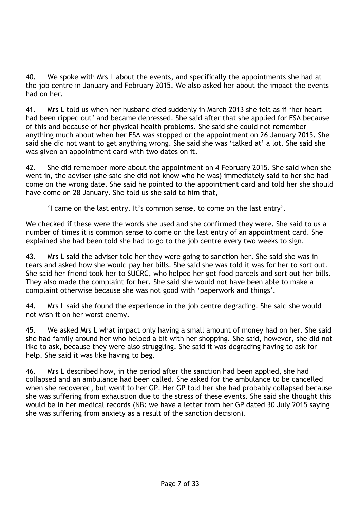40. We spoke with Mrs L about the events, and specifically the appointments she had at the job centre in January and February 2015. We also asked her about the impact the events had on her.

41. Mrs L told us when her husband died suddenly in March 2013 she felt as if 'her heart had been ripped out' and became depressed. She said after that she applied for ESA because of this and because of her physical health problems. She said she could not remember anything much about when her ESA was stopped or the appointment on 26 January 2015. She said she did not want to get anything wrong. She said she was 'talked at' a lot. She said she was given an appointment card with two dates on it.

42. She did remember more about the appointment on 4 February 2015. She said when she went in, the adviser (she said she did not know who he was) immediately said to her she had come on the wrong date. She said he pointed to the appointment card and told her she should have come on 28 January. She told us she said to him that,

'I came on the last entry. It's common sense, to come on the last entry'.

We checked if these were the words she used and she confirmed they were. She said to us a number of times it is common sense to come on the last entry of an appointment card. She explained she had been told she had to go to the job centre every two weeks to sign.

43. Mrs L said the adviser told her they were going to sanction her. She said she was in tears and asked how she would pay her bills. She said she was told it was for her to sort out. She said her friend took her to SUCRC, who helped her get food parcels and sort out her bills. They also made the complaint for her. She said she would not have been able to make a complaint otherwise because she was not good with 'paperwork and things'.

44. Mrs L said she found the experience in the job centre degrading. She said she would not wish it on her worst enemy.

45. We asked Mrs L what impact only having a small amount of money had on her. She said she had family around her who helped a bit with her shopping. She said, however, she did not like to ask, because they were also struggling. She said it was degrading having to ask for help. She said it was like having to beg.

46. Mrs L described how, in the period after the sanction had been applied, she had collapsed and an ambulance had been called. She asked for the ambulance to be cancelled when she recovered, but went to her GP. Her GP told her she had probably collapsed because she was suffering from exhaustion due to the stress of these events. She said she thought this would be in her medical records (NB: we have a letter from her GP dated 30 July 2015 saying she was suffering from anxiety as a result of the sanction decision).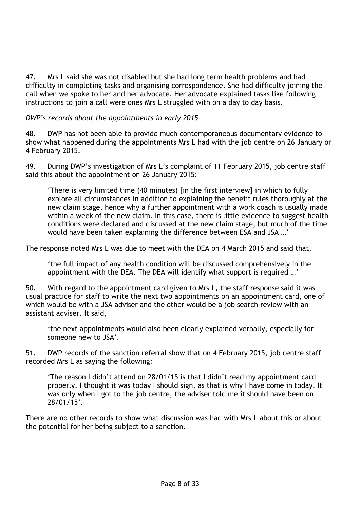47. Mrs L said she was not disabled but she had long term health problems and had difficulty in completing tasks and organising correspondence. She had difficulty joining the call when we spoke to her and her advocate. Her advocate explained tasks like following instructions to join a call were ones Mrs L struggled with on a day to day basis.

# *DWP's records about the appointments in early 2015*

48. DWP has not been able to provide much contemporaneous documentary evidence to show what happened during the appointments Mrs L had with the job centre on 26 January or 4 February 2015.

49. During DWP's investigation of Mrs L's complaint of 11 February 2015, job centre staff said this about the appointment on 26 January 2015:

'There is very limited time (40 minutes) [in the first interview] in which to fully explore all circumstances in addition to explaining the benefit rules thoroughly at the new claim stage, hence why a further appointment with a work coach is usually made within a week of the new claim. In this case, there is little evidence to suggest health conditions were declared and discussed at the new claim stage, but much of the time would have been taken explaining the difference between ESA and JSA …'

The response noted Mrs L was due to meet with the DEA on 4 March 2015 and said that,

'the full impact of any health condition will be discussed comprehensively in the appointment with the DEA. The DEA will identify what support is required …'

50. With regard to the appointment card given to Mrs L, the staff response said it was usual practice for staff to write the next two appointments on an appointment card, one of which would be with a JSA adviser and the other would be a job search review with an assistant adviser. It said,

'the next appointments would also been clearly explained verbally, especially for someone new to JSA'.

51. DWP records of the sanction referral show that on 4 February 2015, job centre staff recorded Mrs L as saying the following:

'The reason I didn't attend on 28/01/15 is that I didn't read my appointment card properly. I thought it was today I should sign, as that is why I have come in today. It was only when I got to the job centre, the adviser told me it should have been on 28/01/15'.

There are no other records to show what discussion was had with Mrs L about this or about the potential for her being subject to a sanction.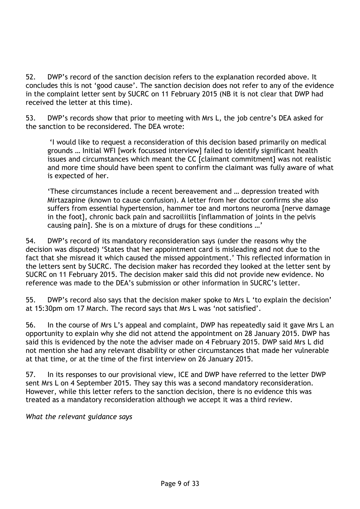52. DWP's record of the sanction decision refers to the explanation recorded above. It concludes this is not 'good cause'. The sanction decision does not refer to any of the evidence in the complaint letter sent by SUCRC on 11 February 2015 (NB it is not clear that DWP had received the letter at this time).

53. DWP's records show that prior to meeting with Mrs L, the job centre's DEA asked for the sanction to be reconsidered. The DEA wrote:

'I would like to request a reconsideration of this decision based primarily on medical grounds … Initial WFI [work focussed interview] failed to identify significant health issues and circumstances which meant the CC [claimant commitment] was not realistic and more time should have been spent to confirm the claimant was fully aware of what is expected of her.

'These circumstances include a recent bereavement and … depression treated with Mirtazapine (known to cause confusion). A letter from her doctor confirms she also suffers from essential hypertension, hammer toe and mortons neuroma [nerve damage in the foot], chronic back pain and sacroiliitis [inflammation of joints in the pelvis causing pain]. She is on a mixture of drugs for these conditions …'

54. DWP's record of its mandatory reconsideration says (under the reasons why the decision was disputed) 'States that her appointment card is misleading and not due to the fact that she misread it which caused the missed appointment.' This reflected information in the letters sent by SUCRC. The decision maker has recorded they looked at the letter sent by SUCRC on 11 February 2015. The decision maker said this did not provide new evidence. No reference was made to the DEA's submission or other information in SUCRC's letter.

55. DWP's record also says that the decision maker spoke to Mrs L 'to explain the decision' at 15:30pm om 17 March. The record says that Mrs L was 'not satisfied'.

56. In the course of Mrs L's appeal and complaint, DWP has repeatedly said it gave Mrs L an opportunity to explain why she did not attend the appointment on 28 January 2015. DWP has said this is evidenced by the note the adviser made on 4 February 2015. DWP said Mrs L did not mention she had any relevant disability or other circumstances that made her vulnerable at that time, or at the time of the first interview on 26 January 2015.

57. In its responses to our provisional view, ICE and DWP have referred to the letter DWP sent Mrs L on 4 September 2015. They say this was a second mandatory reconsideration. However, while this letter refers to the sanction decision, there is no evidence this was treated as a mandatory reconsideration although we accept it was a third review.

*What the relevant guidance says*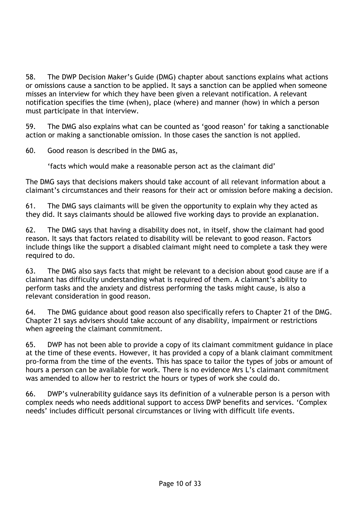58. The DWP Decision Maker's Guide (DMG) chapter about sanctions explains what actions or omissions cause a sanction to be applied. It says a sanction can be applied when someone misses an interview for which they have been given a relevant notification. A relevant notification specifies the time (when), place (where) and manner (how) in which a person must participate in that interview.

59. The DMG also explains what can be counted as 'good reason' for taking a sanctionable action or making a sanctionable omission. In those cases the sanction is not applied.

60. Good reason is described in the DMG as,

'facts which would make a reasonable person act as the claimant did'

The DMG says that decisions makers should take account of all relevant information about a claimant's circumstances and their reasons for their act or omission before making a decision.

61. The DMG says claimants will be given the opportunity to explain why they acted as they did. It says claimants should be allowed five working days to provide an explanation.

62. The DMG says that having a disability does not, in itself, show the claimant had good reason. It says that factors related to disability will be relevant to good reason. Factors include things like the support a disabled claimant might need to complete a task they were required to do.

63. The DMG also says facts that might be relevant to a decision about good cause are if a claimant has difficulty understanding what is required of them. A claimant's ability to perform tasks and the anxiety and distress performing the tasks might cause, is also a relevant consideration in good reason.

64. The DMG guidance about good reason also specifically refers to Chapter 21 of the DMG. Chapter 21 says advisers should take account of any disability, impairment or restrictions when agreeing the claimant commitment.

65. DWP has not been able to provide a copy of its claimant commitment guidance in place at the time of these events. However, it has provided a copy of a blank claimant commitment pro-forma from the time of the events. This has space to tailor the types of jobs or amount of hours a person can be available for work. There is no evidence Mrs L's claimant commitment was amended to allow her to restrict the hours or types of work she could do.

66. DWP's vulnerability guidance says its definition of a vulnerable person is a person with complex needs who needs additional support to access DWP benefits and services. 'Complex needs' includes difficult personal circumstances or living with difficult life events.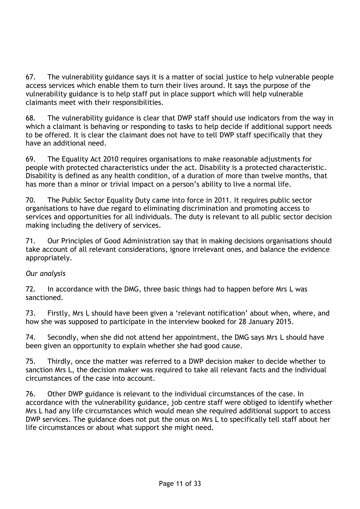67. The vulnerability guidance says it is a matter of social justice to help vulnerable people access services which enable them to turn their lives around. It says the purpose of the vulnerability guidance is to help staff put in place support which will help vulnerable claimants meet with their responsibilities.

68. The vulnerability guidance is clear that DWP staff should use indicators from the way in which a claimant is behaving or responding to tasks to help decide if additional support needs to be offered. It is clear the claimant does not have to tell DWP staff specifically that they have an additional need.

69. The Equality Act 2010 requires organisations to make reasonable adjustments for people with protected characteristics under the act. Disability is a protected characteristic. Disability is defined as any health condition, of a duration of more than twelve months, that has more than a minor or trivial impact on a person's ability to live a normal life.

70. The Public Sector Equality Duty came into force in 2011. It requires public sector organisations to have due regard to eliminating discrimination and promoting access to services and opportunities for all individuals. The duty is relevant to all public sector decision making including the delivery of services.

71. Our Principles of Good Administration say that in making decisions organisations should take account of all relevant considerations, ignore irrelevant ones, and balance the evidence appropriately.

## *Our analysis*

72. In accordance with the DMG, three basic things had to happen before Mrs L was sanctioned.

73. Firstly, Mrs L should have been given a 'relevant notification' about when, where, and how she was supposed to participate in the interview booked for 28 January 2015.

74. Secondly, when she did not attend her appointment, the DMG says Mrs L should have been given an opportunity to explain whether she had good cause.

75. Thirdly, once the matter was referred to a DWP decision maker to decide whether to sanction Mrs L, the decision maker was required to take all relevant facts and the individual circumstances of the case into account.

76. Other DWP guidance is relevant to the individual circumstances of the case. In accordance with the vulnerability guidance, job centre staff were obliged to identify whether Mrs L had any life circumstances which would mean she required additional support to access DWP services. The guidance does not put the onus on Mrs L to specifically tell staff about her life circumstances or about what support she might need.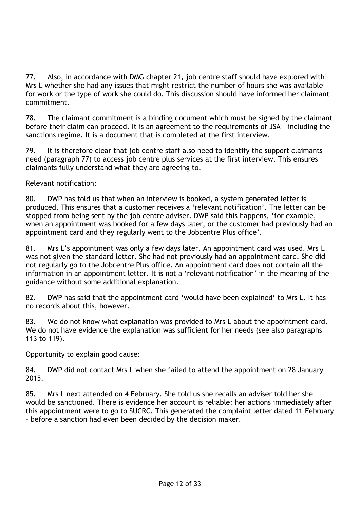77. Also, in accordance with DMG chapter 21, job centre staff should have explored with Mrs L whether she had any issues that might restrict the number of hours she was available for work or the type of work she could do. This discussion should have informed her claimant commitment.

78. The claimant commitment is a binding document which must be signed by the claimant before their claim can proceed. It is an agreement to the requirements of JSA – including the sanctions regime. It is a document that is completed at the first interview.

79. It is therefore clear that job centre staff also need to identify the support claimants need (paragraph 77) to access job centre plus services at the first interview. This ensures claimants fully understand what they are agreeing to.

Relevant notification:

80. DWP has told us that when an interview is booked, a system generated letter is produced. This ensures that a customer receives a 'relevant notification'. The letter can be stopped from being sent by the job centre adviser. DWP said this happens, 'for example, when an appointment was booked for a few days later, or the customer had previously had an appointment card and they regularly went to the Jobcentre Plus office'.

81. Mrs L's appointment was only a few days later. An appointment card was used. Mrs L was not given the standard letter. She had not previously had an appointment card. She did not regularly go to the Jobcentre Plus office. An appointment card does not contain all the information in an appointment letter. It is not a 'relevant notification' in the meaning of the guidance without some additional explanation.

82. DWP has said that the appointment card 'would have been explained' to Mrs L. It has no records about this, however.

83. We do not know what explanation was provided to Mrs L about the appointment card. We do not have evidence the explanation was sufficient for her needs (see also paragraphs 113 to 119).

Opportunity to explain good cause:

84. DWP did not contact Mrs L when she failed to attend the appointment on 28 January 2015.

85. Mrs L next attended on 4 February. She told us she recalls an adviser told her she would be sanctioned. There is evidence her account is reliable: her actions immediately after this appointment were to go to SUCRC. This generated the complaint letter dated 11 February – before a sanction had even been decided by the decision maker.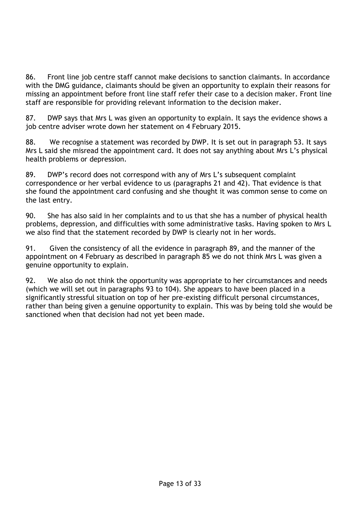86. Front line job centre staff cannot make decisions to sanction claimants. In accordance with the DMG guidance, claimants should be given an opportunity to explain their reasons for missing an appointment before front line staff refer their case to a decision maker. Front line staff are responsible for providing relevant information to the decision maker.

87. DWP says that Mrs L was given an opportunity to explain. It says the evidence shows a job centre adviser wrote down her statement on 4 February 2015.

88. We recognise a statement was recorded by DWP. It is set out in paragraph 53. It says Mrs L said she misread the appointment card. It does not say anything about Mrs L's physical health problems or depression.

89. DWP's record does not correspond with any of Mrs L's subsequent complaint correspondence or her verbal evidence to us (paragraphs 21 and 42). That evidence is that she found the appointment card confusing and she thought it was common sense to come on the last entry.

90. She has also said in her complaints and to us that she has a number of physical health problems, depression, and difficulties with some administrative tasks. Having spoken to Mrs L we also find that the statement recorded by DWP is clearly not in her words.

91. Given the consistency of all the evidence in paragraph 89, and the manner of the appointment on 4 February as described in paragraph 85 we do not think Mrs L was given a genuine opportunity to explain.

92. We also do not think the opportunity was appropriate to her circumstances and needs (which we will set out in paragraphs 93 to 104). She appears to have been placed in a significantly stressful situation on top of her pre-existing difficult personal circumstances, rather than being given a genuine opportunity to explain. This was by being told she would be sanctioned when that decision had not yet been made.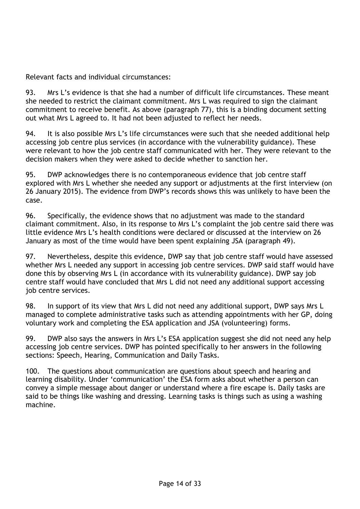Relevant facts and individual circumstances:

93. Mrs L's evidence is that she had a number of difficult life circumstances. These meant she needed to restrict the claimant commitment. Mrs L was required to sign the claimant commitment to receive benefit. As above (paragraph 77), this is a binding document setting out what Mrs L agreed to. It had not been adjusted to reflect her needs.

94. It is also possible Mrs L's life circumstances were such that she needed additional help accessing job centre plus services (in accordance with the vulnerability guidance). These were relevant to how the job centre staff communicated with her. They were relevant to the decision makers when they were asked to decide whether to sanction her.

95. DWP acknowledges there is no contemporaneous evidence that job centre staff explored with Mrs L whether she needed any support or adjustments at the first interview (on 26 January 2015). The evidence from DWP's records shows this was unlikely to have been the case.

96. Specifically, the evidence shows that no adjustment was made to the standard claimant commitment. Also, in its response to Mrs L's complaint the job centre said there was little evidence Mrs L's health conditions were declared or discussed at the interview on 26 January as most of the time would have been spent explaining JSA (paragraph 49).

97. Nevertheless, despite this evidence, DWP say that job centre staff would have assessed whether Mrs L needed any support in accessing job centre services. DWP said staff would have done this by observing Mrs L (in accordance with its vulnerability guidance). DWP say job centre staff would have concluded that Mrs L did not need any additional support accessing job centre services.

98. In support of its view that Mrs L did not need any additional support, DWP says Mrs L managed to complete administrative tasks such as attending appointments with her GP, doing voluntary work and completing the ESA application and JSA (volunteering) forms.

99. DWP also says the answers in Mrs L's ESA application suggest she did not need any help accessing job centre services. DWP has pointed specifically to her answers in the following sections: Speech, Hearing, Communication and Daily Tasks.

100. The questions about communication are questions about speech and hearing and learning disability. Under 'communication' the ESA form asks about whether a person can convey a simple message about danger or understand where a fire escape is. Daily tasks are said to be things like washing and dressing. Learning tasks is things such as using a washing machine.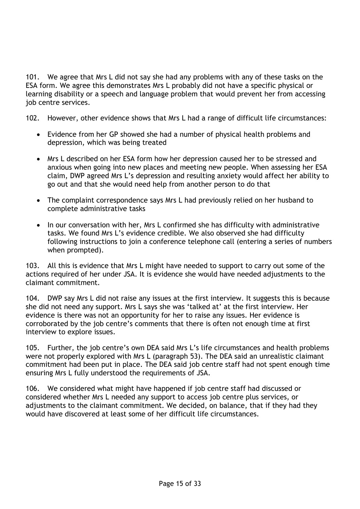101. We agree that Mrs L did not say she had any problems with any of these tasks on the ESA form. We agree this demonstrates Mrs L probably did not have a specific physical or learning disability or a speech and language problem that would prevent her from accessing job centre services.

102. However, other evidence shows that Mrs L had a range of difficult life circumstances:

- Evidence from her GP showed she had a number of physical health problems and depression, which was being treated
- Mrs L described on her ESA form how her depression caused her to be stressed and anxious when going into new places and meeting new people. When assessing her ESA claim, DWP agreed Mrs L's depression and resulting anxiety would affect her ability to go out and that she would need help from another person to do that
- The complaint correspondence says Mrs L had previously relied on her husband to complete administrative tasks
- In our conversation with her, Mrs L confirmed she has difficulty with administrative tasks. We found Mrs L's evidence credible. We also observed she had difficulty following instructions to join a conference telephone call (entering a series of numbers when prompted).

103. All this is evidence that Mrs L might have needed to support to carry out some of the actions required of her under JSA. It is evidence she would have needed adjustments to the claimant commitment.

104. DWP say Mrs L did not raise any issues at the first interview. It suggests this is because she did not need any support. Mrs L says she was 'talked at' at the first interview. Her evidence is there was not an opportunity for her to raise any issues. Her evidence is corroborated by the job centre's comments that there is often not enough time at first interview to explore issues.

105. Further, the job centre's own DEA said Mrs L's life circumstances and health problems were not properly explored with Mrs L (paragraph 53). The DEA said an unrealistic claimant commitment had been put in place. The DEA said job centre staff had not spent enough time ensuring Mrs L fully understood the requirements of JSA.

106. We considered what might have happened if job centre staff had discussed or considered whether Mrs L needed any support to access job centre plus services, or adjustments to the claimant commitment. We decided, on balance, that if they had they would have discovered at least some of her difficult life circumstances.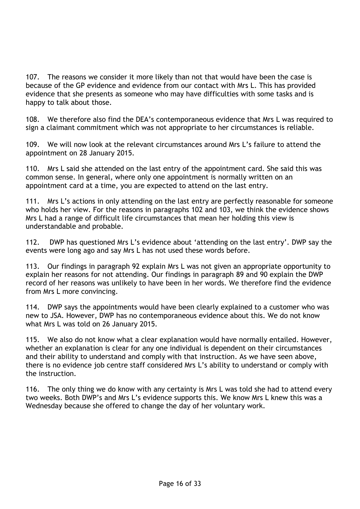107. The reasons we consider it more likely than not that would have been the case is because of the GP evidence and evidence from our contact with Mrs L. This has provided evidence that she presents as someone who may have difficulties with some tasks and is happy to talk about those.

108. We therefore also find the DEA's contemporaneous evidence that Mrs L was required to sign a claimant commitment which was not appropriate to her circumstances is reliable.

109. We will now look at the relevant circumstances around Mrs L's failure to attend the appointment on 28 January 2015.

110. Mrs L said she attended on the last entry of the appointment card. She said this was common sense. In general, where only one appointment is normally written on an appointment card at a time, you are expected to attend on the last entry.

111. Mrs L's actions in only attending on the last entry are perfectly reasonable for someone who holds her view. For the reasons in paragraphs 102 and 103, we think the evidence shows Mrs L had a range of difficult life circumstances that mean her holding this view is understandable and probable.

112. DWP has questioned Mrs L's evidence about 'attending on the last entry'. DWP say the events were long ago and say Mrs L has not used these words before.

113. Our findings in paragraph 92 explain Mrs L was not given an appropriate opportunity to explain her reasons for not attending. Our findings in paragraph 89 and 90 explain the DWP record of her reasons was unlikely to have been in her words. We therefore find the evidence from Mrs L more convincing.

114. DWP says the appointments would have been clearly explained to a customer who was new to JSA. However, DWP has no contemporaneous evidence about this. We do not know what Mrs L was told on 26 January 2015.

115. We also do not know what a clear explanation would have normally entailed. However, whether an explanation is clear for any one individual is dependent on their circumstances and their ability to understand and comply with that instruction. As we have seen above, there is no evidence job centre staff considered Mrs L's ability to understand or comply with the instruction.

116. The only thing we do know with any certainty is Mrs L was told she had to attend every two weeks. Both DWP's and Mrs L's evidence supports this. We know Mrs L knew this was a Wednesday because she offered to change the day of her voluntary work.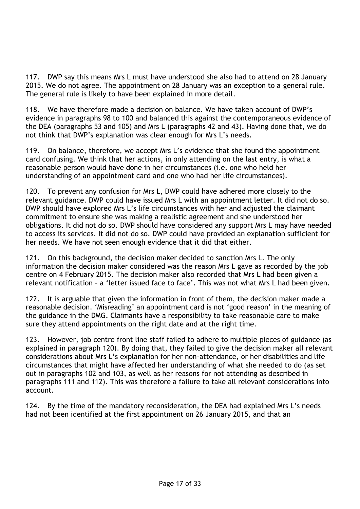117. DWP say this means Mrs L must have understood she also had to attend on 28 January 2015. We do not agree. The appointment on 28 January was an exception to a general rule. The general rule is likely to have been explained in more detail.

118. We have therefore made a decision on balance. We have taken account of DWP's evidence in paragraphs 98 to 100 and balanced this against the contemporaneous evidence of the DEA (paragraphs 53 and 105) and Mrs L (paragraphs 42 and 43). Having done that, we do not think that DWP's explanation was clear enough for Mrs L's needs.

119. On balance, therefore, we accept Mrs L's evidence that she found the appointment card confusing. We think that her actions, in only attending on the last entry, is what a reasonable person would have done in her circumstances (i.e. one who held her understanding of an appointment card and one who had her life circumstances).

120. To prevent any confusion for Mrs L, DWP could have adhered more closely to the relevant guidance. DWP could have issued Mrs L with an appointment letter. It did not do so. DWP should have explored Mrs L's life circumstances with her and adjusted the claimant commitment to ensure she was making a realistic agreement and she understood her obligations. It did not do so. DWP should have considered any support Mrs L may have needed to access its services. It did not do so. DWP could have provided an explanation sufficient for her needs. We have not seen enough evidence that it did that either.

121. On this background, the decision maker decided to sanction Mrs L. The only information the decision maker considered was the reason Mrs L gave as recorded by the job centre on 4 February 2015. The decision maker also recorded that Mrs L had been given a relevant notification – a 'letter issued face to face'. This was not what Mrs L had been given.

122. It is arguable that given the information in front of them, the decision maker made a reasonable decision. 'Misreading' an appointment card is not 'good reason' in the meaning of the guidance in the DMG. Claimants have a responsibility to take reasonable care to make sure they attend appointments on the right date and at the right time.

123. However, job centre front line staff failed to adhere to multiple pieces of guidance (as explained in paragraph 120). By doing that, they failed to give the decision maker all relevant considerations about Mrs L's explanation for her non-attendance, or her disabilities and life circumstances that might have affected her understanding of what she needed to do (as set out in paragraphs 102 and 103, as well as her reasons for not attending as described in paragraphs 111 and 112). This was therefore a failure to take all relevant considerations into account.

124. By the time of the mandatory reconsideration, the DEA had explained Mrs L's needs had not been identified at the first appointment on 26 January 2015, and that an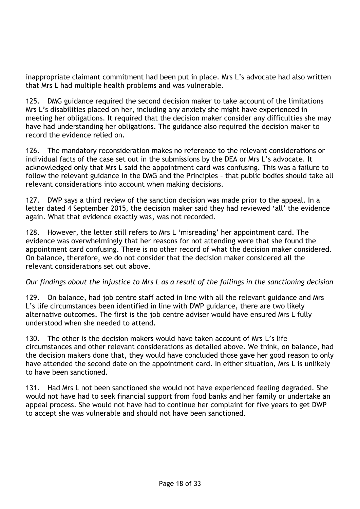inappropriate claimant commitment had been put in place. Mrs L's advocate had also written that Mrs L had multiple health problems and was vulnerable.

125. DMG guidance required the second decision maker to take account of the limitations Mrs L's disabilities placed on her, including any anxiety she might have experienced in meeting her obligations. It required that the decision maker consider any difficulties she may have had understanding her obligations. The guidance also required the decision maker to record the evidence relied on.

126. The mandatory reconsideration makes no reference to the relevant considerations or individual facts of the case set out in the submissions by the DEA or Mrs L's advocate. It acknowledged only that Mrs L said the appointment card was confusing. This was a failure to follow the relevant guidance in the DMG and the Principles – that public bodies should take all relevant considerations into account when making decisions.

127. DWP says a third review of the sanction decision was made prior to the appeal. In a letter dated 4 September 2015, the decision maker said they had reviewed 'all' the evidence again. What that evidence exactly was, was not recorded.

128. However, the letter still refers to Mrs L 'misreading' her appointment card. The evidence was overwhelmingly that her reasons for not attending were that she found the appointment card confusing. There is no other record of what the decision maker considered. On balance, therefore, we do not consider that the decision maker considered all the relevant considerations set out above.

## *Our findings about the injustice to Mrs L as a result of the failings in the sanctioning decision*

129. On balance, had job centre staff acted in line with all the relevant guidance and Mrs L's life circumstances been identified in line with DWP guidance, there are two likely alternative outcomes. The first is the job centre adviser would have ensured Mrs L fully understood when she needed to attend.

130. The other is the decision makers would have taken account of Mrs L's life circumstances and other relevant considerations as detailed above. We think, on balance, had the decision makers done that, they would have concluded those gave her good reason to only have attended the second date on the appointment card. In either situation, Mrs L is unlikely to have been sanctioned.

131. Had Mrs L not been sanctioned she would not have experienced feeling degraded. She would not have had to seek financial support from food banks and her family or undertake an appeal process. She would not have had to continue her complaint for five years to get DWP to accept she was vulnerable and should not have been sanctioned.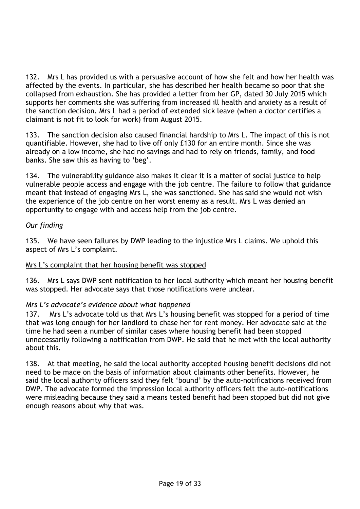132. Mrs L has provided us with a persuasive account of how she felt and how her health was affected by the events. In particular, she has described her health became so poor that she collapsed from exhaustion. She has provided a letter from her GP, dated 30 July 2015 which supports her comments she was suffering from increased ill health and anxiety as a result of the sanction decision. Mrs L had a period of extended sick leave (when a doctor certifies a claimant is not fit to look for work) from August 2015.

133. The sanction decision also caused financial hardship to Mrs L. The impact of this is not quantifiable. However, she had to live off only £130 for an entire month. Since she was already on a low income, she had no savings and had to rely on friends, family, and food banks. She saw this as having to 'beg'.

134. The vulnerability guidance also makes it clear it is a matter of social justice to help vulnerable people access and engage with the job centre. The failure to follow that guidance meant that instead of engaging Mrs L, she was sanctioned. She has said she would not wish the experience of the job centre on her worst enemy as a result. Mrs L was denied an opportunity to engage with and access help from the job centre.

# *Our finding*

135. We have seen failures by DWP leading to the injustice Mrs L claims. We uphold this aspect of Mrs L's complaint.

## Mrs L's complaint that her housing benefit was stopped

136. Mrs L says DWP sent notification to her local authority which meant her housing benefit was stopped. Her advocate says that those notifications were unclear.

## *Mrs L's advocate's evidence about what happened*

137. Mrs L's advocate told us that Mrs L's housing benefit was stopped for a period of time that was long enough for her landlord to chase her for rent money. Her advocate said at the time he had seen a number of similar cases where housing benefit had been stopped unnecessarily following a notification from DWP. He said that he met with the local authority about this.

138. At that meeting, he said the local authority accepted housing benefit decisions did not need to be made on the basis of information about claimants other benefits. However, he said the local authority officers said they felt 'bound' by the auto-notifications received from DWP. The advocate formed the impression local authority officers felt the auto-notifications were misleading because they said a means tested benefit had been stopped but did not give enough reasons about why that was.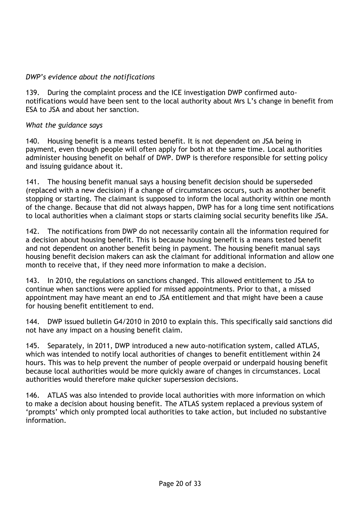### *DWP's evidence about the notifications*

139. During the complaint process and the ICE investigation DWP confirmed autonotifications would have been sent to the local authority about Mrs L's change in benefit from ESA to JSA and about her sanction.

### *What the guidance says*

140. Housing benefit is a means tested benefit. It is not dependent on JSA being in payment, even though people will often apply for both at the same time. Local authorities administer housing benefit on behalf of DWP. DWP is therefore responsible for setting policy and issuing guidance about it.

141. The housing benefit manual says a housing benefit decision should be superseded (replaced with a new decision) if a change of circumstances occurs, such as another benefit stopping or starting. The claimant is supposed to inform the local authority within one month of the change. Because that did not always happen, DWP has for a long time sent notifications to local authorities when a claimant stops or starts claiming social security benefits like JSA.

142. The notifications from DWP do not necessarily contain all the information required for a decision about housing benefit. This is because housing benefit is a means tested benefit and not dependent on another benefit being in payment. The housing benefit manual says housing benefit decision makers can ask the claimant for additional information and allow one month to receive that, if they need more information to make a decision.

143. In 2010, the regulations on sanctions changed. This allowed entitlement to JSA to continue when sanctions were applied for missed appointments. Prior to that, a missed appointment may have meant an end to JSA entitlement and that might have been a cause for housing benefit entitlement to end.

144. DWP issued bulletin G4/2010 in 2010 to explain this. This specifically said sanctions did not have any impact on a housing benefit claim.

145. Separately, in 2011, DWP introduced a new auto-notification system, called ATLAS, which was intended to notify local authorities of changes to benefit entitlement within 24 hours. This was to help prevent the number of people overpaid or underpaid housing benefit because local authorities would be more quickly aware of changes in circumstances. Local authorities would therefore make quicker supersession decisions.

146. ATLAS was also intended to provide local authorities with more information on which to make a decision about housing benefit. The ATLAS system replaced a previous system of 'prompts' which only prompted local authorities to take action, but included no substantive information.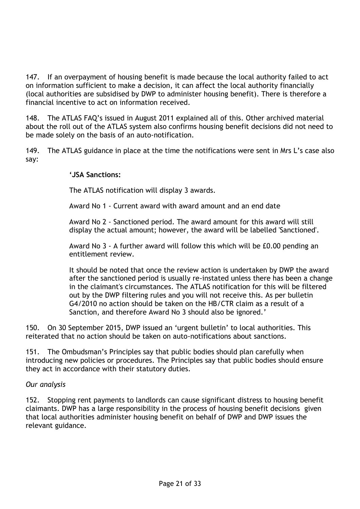147. If an overpayment of housing benefit is made because the local authority failed to act on information sufficient to make a decision, it can affect the local authority financially (local authorities are subsidised by DWP to administer housing benefit). There is therefore a financial incentive to act on information received.

148. The ATLAS FAQ's issued in August 2011 explained all of this. Other archived material about the roll out of the ATLAS system also confirms housing benefit decisions did not need to be made solely on the basis of an auto-notification.

149. The ATLAS guidance in place at the time the notifications were sent in Mrs L's case also say:

### **'JSA Sanctions:**

The ATLAS notification will display 3 awards.

Award No 1 - Current award with award amount and an end date

Award No 2 - Sanctioned period. The award amount for this award will still display the actual amount; however, the award will be labelled 'Sanctioned'.

Award No 3 - A further award will follow this which will be £0.00 pending an entitlement review.

It should be noted that once the review action is undertaken by DWP the award after the sanctioned period is usually re-instated unless there has been a change in the claimant's circumstances. The ATLAS notification for this will be filtered out by the DWP filtering rules and you will not receive this. As per bulletin G4/2010 no action should be taken on the HB/CTR claim as a result of a Sanction, and therefore Award No 3 should also be ignored.'

150. On 30 September 2015, DWP issued an 'urgent bulletin' to local authorities. This reiterated that no action should be taken on auto-notifications about sanctions.

151. The Ombudsman's Principles say that public bodies should plan carefully when introducing new policies or procedures. The Principles say that public bodies should ensure they act in accordance with their statutory duties.

#### *Our analysis*

152. Stopping rent payments to landlords can cause significant distress to housing benefit claimants. DWP has a large responsibility in the process of housing benefit decisions given that local authorities administer housing benefit on behalf of DWP and DWP issues the relevant guidance.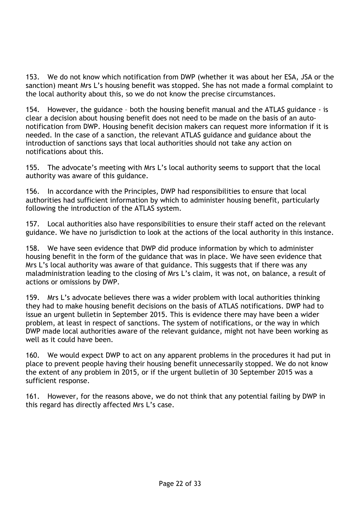153. We do not know which notification from DWP (whether it was about her ESA, JSA or the sanction) meant Mrs L's housing benefit was stopped. She has not made a formal complaint to the local authority about this, so we do not know the precise circumstances.

154. However, the guidance – both the housing benefit manual and the ATLAS guidance - is clear a decision about housing benefit does not need to be made on the basis of an autonotification from DWP. Housing benefit decision makers can request more information if it is needed. In the case of a sanction, the relevant ATLAS guidance and guidance about the introduction of sanctions says that local authorities should not take any action on notifications about this.

155. The advocate's meeting with Mrs L's local authority seems to support that the local authority was aware of this guidance.

156. In accordance with the Principles, DWP had responsibilities to ensure that local authorities had sufficient information by which to administer housing benefit, particularly following the introduction of the ATLAS system.

157. Local authorities also have responsibilities to ensure their staff acted on the relevant guidance. We have no jurisdiction to look at the actions of the local authority in this instance.

158. We have seen evidence that DWP did produce information by which to administer housing benefit in the form of the guidance that was in place. We have seen evidence that Mrs L's local authority was aware of that guidance. This suggests that if there was any maladministration leading to the closing of Mrs L's claim, it was not, on balance, a result of actions or omissions by DWP.

159. Mrs L's advocate believes there was a wider problem with local authorities thinking they had to make housing benefit decisions on the basis of ATLAS notifications. DWP had to issue an urgent bulletin in September 2015. This is evidence there may have been a wider problem, at least in respect of sanctions. The system of notifications, or the way in which DWP made local authorities aware of the relevant guidance, might not have been working as well as it could have been.

160. We would expect DWP to act on any apparent problems in the procedures it had put in place to prevent people having their housing benefit unnecessarily stopped. We do not know the extent of any problem in 2015, or if the urgent bulletin of 30 September 2015 was a sufficient response.

161. However, for the reasons above, we do not think that any potential failing by DWP in this regard has directly affected Mrs L's case.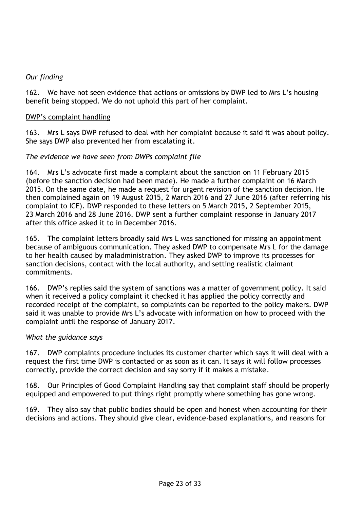## *Our finding*

162. We have not seen evidence that actions or omissions by DWP led to Mrs L's housing benefit being stopped. We do not uphold this part of her complaint.

### DWP's complaint handling

163. Mrs L says DWP refused to deal with her complaint because it said it was about policy. She says DWP also prevented her from escalating it.

## *The evidence we have seen from DWPs complaint file*

164. Mrs L's advocate first made a complaint about the sanction on 11 February 2015 (before the sanction decision had been made). He made a further complaint on 16 March 2015. On the same date, he made a request for urgent revision of the sanction decision. He then complained again on 19 August 2015, 2 March 2016 and 27 June 2016 (after referring his complaint to ICE). DWP responded to these letters on 5 March 2015, 2 September 2015, 23 March 2016 and 28 June 2016. DWP sent a further complaint response in January 2017 after this office asked it to in December 2016.

165. The complaint letters broadly said Mrs L was sanctioned for missing an appointment because of ambiguous communication. They asked DWP to compensate Mrs L for the damage to her health caused by maladministration. They asked DWP to improve its processes for sanction decisions, contact with the local authority, and setting realistic claimant commitments.

166. DWP's replies said the system of sanctions was a matter of government policy. It said when it received a policy complaint it checked it has applied the policy correctly and recorded receipt of the complaint, so complaints can be reported to the policy makers. DWP said it was unable to provide Mrs L's advocate with information on how to proceed with the complaint until the response of January 2017.

## *What the guidance says*

167. DWP complaints procedure includes its customer charter which says it will deal with a request the first time DWP is contacted or as soon as it can. It says it will follow processes correctly, provide the correct decision and say sorry if it makes a mistake.

168. Our Principles of Good Complaint Handling say that complaint staff should be properly equipped and empowered to put things right promptly where something has gone wrong.

169. They also say that public bodies should be open and honest when accounting for their decisions and actions. They should give clear, evidence-based explanations, and reasons for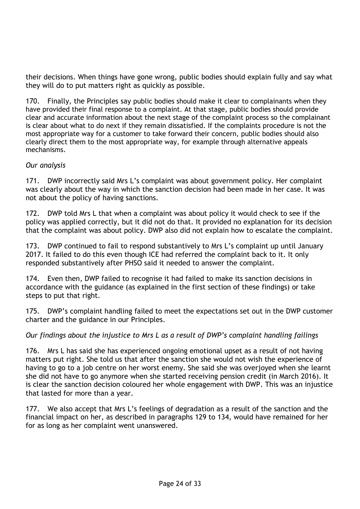their decisions. When things have gone wrong, public bodies should explain fully and say what they will do to put matters right as quickly as possible.

170. Finally, the Principles say public bodies should make it clear to complainants when they have provided their final response to a complaint. At that stage, public bodies should provide clear and accurate information about the next stage of the complaint process so the complainant is clear about what to do next if they remain dissatisfied. If the complaints procedure is not the most appropriate way for a customer to take forward their concern, public bodies should also clearly direct them to the most appropriate way, for example through alternative appeals mechanisms.

## *Our analysis*

171. DWP incorrectly said Mrs L's complaint was about government policy. Her complaint was clearly about the way in which the sanction decision had been made in her case. It was not about the policy of having sanctions.

172. DWP told Mrs L that when a complaint was about policy it would check to see if the policy was applied correctly, but it did not do that. It provided no explanation for its decision that the complaint was about policy. DWP also did not explain how to escalate the complaint.

173. DWP continued to fail to respond substantively to Mrs L's complaint up until January 2017. It failed to do this even though ICE had referred the complaint back to it. It only responded substantively after PHSO said it needed to answer the complaint.

174. Even then, DWP failed to recognise it had failed to make its sanction decisions in accordance with the guidance (as explained in the first section of these findings) or take steps to put that right.

175. DWP's complaint handling failed to meet the expectations set out in the DWP customer charter and the guidance in our Principles.

#### *Our findings about the injustice to Mrs L as a result of DWP's complaint handling failings*

176. Mrs L has said she has experienced ongoing emotional upset as a result of not having matters put right. She told us that after the sanction she would not wish the experience of having to go to a job centre on her worst enemy. She said she was overjoyed when she learnt she did not have to go anymore when she started receiving pension credit (in March 2016). It is clear the sanction decision coloured her whole engagement with DWP. This was an injustice that lasted for more than a year.

177. We also accept that Mrs L's feelings of degradation as a result of the sanction and the financial impact on her, as described in paragraphs 129 to 134, would have remained for her for as long as her complaint went unanswered.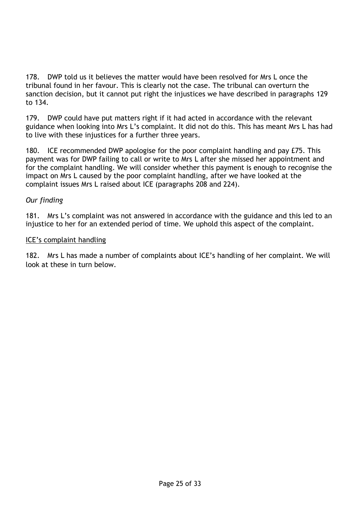178. DWP told us it believes the matter would have been resolved for Mrs L once the tribunal found in her favour. This is clearly not the case. The tribunal can overturn the sanction decision, but it cannot put right the injustices we have described in paragraphs 129 to 134.

179. DWP could have put matters right if it had acted in accordance with the relevant guidance when looking into Mrs L's complaint. It did not do this. This has meant Mrs L has had to live with these injustices for a further three years.

180. ICE recommended DWP apologise for the poor complaint handling and pay £75. This payment was for DWP failing to call or write to Mrs L after she missed her appointment and for the complaint handling. We will consider whether this payment is enough to recognise the impact on Mrs L caused by the poor complaint handling, after we have looked at the complaint issues Mrs L raised about ICE (paragraphs 208 and 224).

## *Our finding*

181. Mrs L's complaint was not answered in accordance with the guidance and this led to an injustice to her for an extended period of time. We uphold this aspect of the complaint.

#### ICE's complaint handling

182. Mrs L has made a number of complaints about ICE's handling of her complaint. We will look at these in turn below.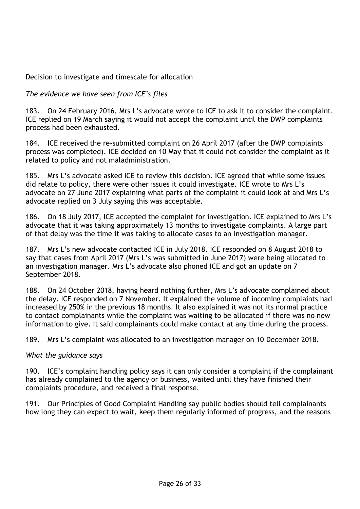# Decision to investigate and timescale for allocation

# *The evidence we have seen from ICE's files*

183. On 24 February 2016, Mrs L's advocate wrote to ICE to ask it to consider the complaint. ICE replied on 19 March saying it would not accept the complaint until the DWP complaints process had been exhausted.

184. ICE received the re-submitted complaint on 26 April 2017 (after the DWP complaints process was completed). ICE decided on 10 May that it could not consider the complaint as it related to policy and not maladministration.

185. Mrs L's advocate asked ICE to review this decision. ICE agreed that while some issues did relate to policy, there were other issues it could investigate. ICE wrote to Mrs L's advocate on 27 June 2017 explaining what parts of the complaint it could look at and Mrs L's advocate replied on 3 July saying this was acceptable.

186. On 18 July 2017, ICE accepted the complaint for investigation. ICE explained to Mrs L's advocate that it was taking approximately 13 months to investigate complaints. A large part of that delay was the time it was taking to allocate cases to an investigation manager.

187. Mrs L's new advocate contacted ICE in July 2018. ICE responded on 8 August 2018 to say that cases from April 2017 (Mrs L's was submitted in June 2017) were being allocated to an investigation manager. Mrs L's advocate also phoned ICE and got an update on 7 September 2018.

188. On 24 October 2018, having heard nothing further, Mrs L's advocate complained about the delay. ICE responded on 7 November. It explained the volume of incoming complaints had increased by 250% in the previous 18 months. It also explained it was not its normal practice to contact complainants while the complaint was waiting to be allocated if there was no new information to give. It said complainants could make contact at any time during the process.

189. Mrs L's complaint was allocated to an investigation manager on 10 December 2018.

#### *What the guidance says*

190. ICE's complaint handling policy says it can only consider a complaint if the complainant has already complained to the agency or business, waited until they have finished their complaints procedure, and received a final response.

191. Our Principles of Good Complaint Handling say public bodies should tell complainants how long they can expect to wait, keep them regularly informed of progress, and the reasons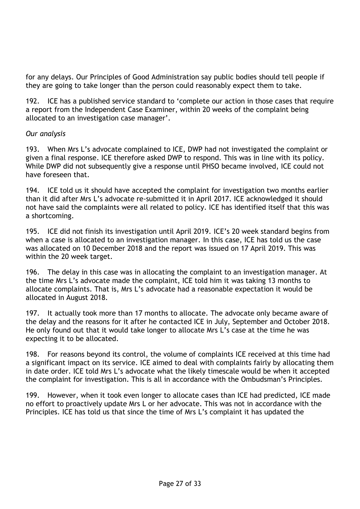for any delays. Our Principles of Good Administration say public bodies should tell people if they are going to take longer than the person could reasonably expect them to take.

192. ICE has a published service standard to 'complete our action in those cases that require a report from the Independent Case Examiner, within 20 weeks of the complaint being allocated to an investigation case manager'.

### *Our analysis*

193. When Mrs L's advocate complained to ICE, DWP had not investigated the complaint or given a final response. ICE therefore asked DWP to respond. This was in line with its policy. While DWP did not subsequently give a response until PHSO became involved, ICE could not have foreseen that.

194. ICE told us it should have accepted the complaint for investigation two months earlier than it did after Mrs L's advocate re-submitted it in April 2017. ICE acknowledged it should not have said the complaints were all related to policy. ICE has identified itself that this was a shortcoming.

195. ICE did not finish its investigation until April 2019. ICE's 20 week standard begins from when a case is allocated to an investigation manager. In this case, ICE has told us the case was allocated on 10 December 2018 and the report was issued on 17 April 2019. This was within the 20 week target.

196. The delay in this case was in allocating the complaint to an investigation manager. At the time Mrs L's advocate made the complaint, ICE told him it was taking 13 months to allocate complaints. That is, Mrs L's advocate had a reasonable expectation it would be allocated in August 2018.

197. It actually took more than 17 months to allocate. The advocate only became aware of the delay and the reasons for it after he contacted ICE in July, September and October 2018. He only found out that it would take longer to allocate Mrs L's case at the time he was expecting it to be allocated.

198. For reasons beyond its control, the volume of complaints ICE received at this time had a significant impact on its service. ICE aimed to deal with complaints fairly by allocating them in date order. ICE told Mrs L's advocate what the likely timescale would be when it accepted the complaint for investigation. This is all in accordance with the Ombudsman's Principles.

199. However, when it took even longer to allocate cases than ICE had predicted, ICE made no effort to proactively update Mrs L or her advocate. This was not in accordance with the Principles. ICE has told us that since the time of Mrs L's complaint it has updated the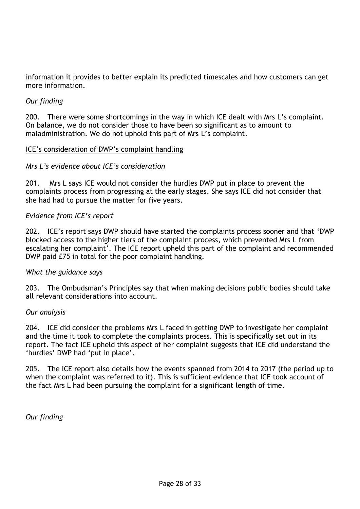information it provides to better explain its predicted timescales and how customers can get more information.

## *Our finding*

200. There were some shortcomings in the way in which ICE dealt with Mrs L's complaint. On balance, we do not consider those to have been so significant as to amount to maladministration. We do not uphold this part of Mrs L's complaint.

#### ICE's consideration of DWP's complaint handling

#### *Mrs L's evidence about ICE's consideration*

201. Mrs L says ICE would not consider the hurdles DWP put in place to prevent the complaints process from progressing at the early stages. She says ICE did not consider that she had had to pursue the matter for five years.

#### *Evidence from ICE's report*

202. ICE's report says DWP should have started the complaints process sooner and that 'DWP blocked access to the higher tiers of the complaint process, which prevented Mrs L from escalating her complaint'. The ICE report upheld this part of the complaint and recommended DWP paid £75 in total for the poor complaint handling.

#### *What the guidance says*

203. The Ombudsman's Principles say that when making decisions public bodies should take all relevant considerations into account.

#### *Our analysis*

204. ICE did consider the problems Mrs L faced in getting DWP to investigate her complaint and the time it took to complete the complaints process. This is specifically set out in its report. The fact ICE upheld this aspect of her complaint suggests that ICE did understand the 'hurdles' DWP had 'put in place'.

205. The ICE report also details how the events spanned from 2014 to 2017 (the period up to when the complaint was referred to it). This is sufficient evidence that ICE took account of the fact Mrs L had been pursuing the complaint for a significant length of time.

*Our finding*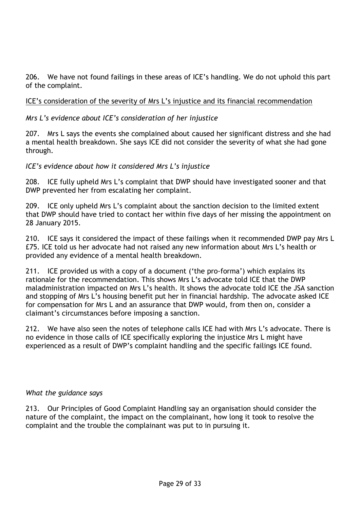206. We have not found failings in these areas of ICE's handling. We do not uphold this part of the complaint.

### ICE's consideration of the severity of Mrs L's injustice and its financial recommendation

#### *Mrs L's evidence about ICE's consideration of her injustice*

207. Mrs L says the events she complained about caused her significant distress and she had a mental health breakdown. She says ICE did not consider the severity of what she had gone through.

*ICE's evidence about how it considered Mrs L's injustice*

208. ICE fully upheld Mrs L's complaint that DWP should have investigated sooner and that DWP prevented her from escalating her complaint.

209. ICE only upheld Mrs L's complaint about the sanction decision to the limited extent that DWP should have tried to contact her within five days of her missing the appointment on 28 January 2015.

210. ICE says it considered the impact of these failings when it recommended DWP pay Mrs L £75. ICE told us her advocate had not raised any new information about Mrs L's health or provided any evidence of a mental health breakdown.

211. ICE provided us with a copy of a document ('the pro-forma') which explains its rationale for the recommendation. This shows Mrs L's advocate told ICE that the DWP maladministration impacted on Mrs L's health. It shows the advocate told ICE the JSA sanction and stopping of Mrs L's housing benefit put her in financial hardship. The advocate asked ICE for compensation for Mrs L and an assurance that DWP would, from then on, consider a claimant's circumstances before imposing a sanction.

212. We have also seen the notes of telephone calls ICE had with Mrs L's advocate. There is no evidence in those calls of ICE specifically exploring the injustice Mrs L might have experienced as a result of DWP's complaint handling and the specific failings ICE found.

#### *What the guidance says*

213. Our Principles of Good Complaint Handling say an organisation should consider the nature of the complaint, the impact on the complainant, how long it took to resolve the complaint and the trouble the complainant was put to in pursuing it.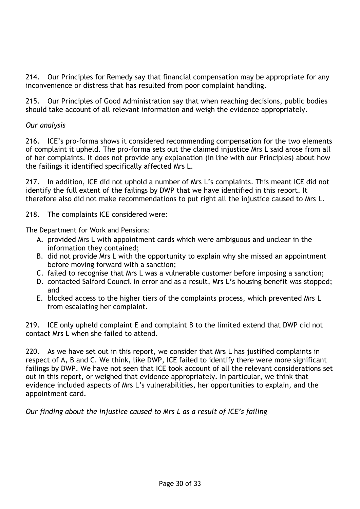214. Our Principles for Remedy say that financial compensation may be appropriate for any inconvenience or distress that has resulted from poor complaint handling.

215. Our Principles of Good Administration say that when reaching decisions, public bodies should take account of all relevant information and weigh the evidence appropriately.

# *Our analysis*

216. ICE's pro-forma shows it considered recommending compensation for the two elements of complaint it upheld. The pro-forma sets out the claimed injustice Mrs L said arose from all of her complaints. It does not provide any explanation (in line with our Principles) about how the failings it identified specifically affected Mrs L.

217. In addition, ICE did not uphold a number of Mrs L's complaints. This meant ICE did not identify the full extent of the failings by DWP that we have identified in this report. It therefore also did not make recommendations to put right all the injustice caused to Mrs L.

218. The complaints ICE considered were:

The Department for Work and Pensions:

- A. provided Mrs L with appointment cards which were ambiguous and unclear in the information they contained;
- B. did not provide Mrs L with the opportunity to explain why she missed an appointment before moving forward with a sanction;
- C. failed to recognise that Mrs L was a vulnerable customer before imposing a sanction;
- D. contacted Salford Council in error and as a result, Mrs L's housing benefit was stopped; and
- E. blocked access to the higher tiers of the complaints process, which prevented Mrs L from escalating her complaint.

219. ICE only upheld complaint E and complaint B to the limited extend that DWP did not contact Mrs L when she failed to attend.

220. As we have set out in this report, we consider that Mrs L has justified complaints in respect of A, B and C. We think, like DWP, ICE failed to identify there were more significant failings by DWP. We have not seen that ICE took account of all the relevant considerations set out in this report, or weighed that evidence appropriately. In particular, we think that evidence included aspects of Mrs L's vulnerabilities, her opportunities to explain, and the appointment card.

*Our finding about the injustice caused to Mrs L as a result of ICE's failing*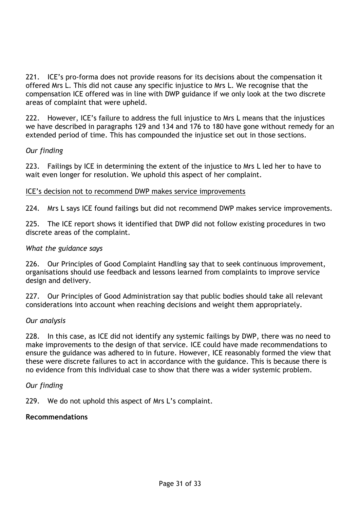221. ICE's pro-forma does not provide reasons for its decisions about the compensation it offered Mrs L. This did not cause any specific injustice to Mrs L. We recognise that the compensation ICE offered was in line with DWP guidance if we only look at the two discrete areas of complaint that were upheld.

222. However, ICE's failure to address the full injustice to Mrs L means that the injustices we have described in paragraphs 129 and 134 and 176 to 180 have gone without remedy for an extended period of time. This has compounded the injustice set out in those sections.

### *Our finding*

223. Failings by ICE in determining the extent of the injustice to Mrs L led her to have to wait even longer for resolution. We uphold this aspect of her complaint.

#### ICE's decision not to recommend DWP makes service improvements

224. Mrs L says ICE found failings but did not recommend DWP makes service improvements.

225. The ICE report shows it identified that DWP did not follow existing procedures in two discrete areas of the complaint.

#### *What the guidance says*

226. Our Principles of Good Complaint Handling say that to seek continuous improvement, organisations should use feedback and lessons learned from complaints to improve service design and delivery.

227. Our Principles of Good Administration say that public bodies should take all relevant considerations into account when reaching decisions and weight them appropriately.

#### *Our analysis*

228. In this case, as ICE did not identify any systemic failings by DWP, there was no need to make improvements to the design of that service. ICE could have made recommendations to ensure the guidance was adhered to in future. However, ICE reasonably formed the view that these were discrete failures to act in accordance with the guidance. This is because there is no evidence from this individual case to show that there was a wider systemic problem.

#### *Our finding*

229. We do not uphold this aspect of Mrs L's complaint.

#### **Recommendations**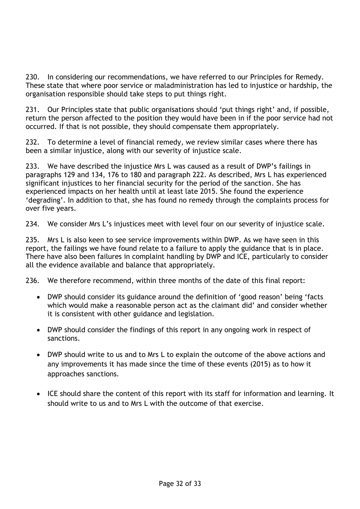230. In considering our recommendations, we have referred to our Principles for Remedy. These state that where poor service or maladministration has led to injustice or hardship, the organisation responsible should take steps to put things right.

231. Our Principles state that public organisations should 'put things right' and, if possible, return the person affected to the position they would have been in if the poor service had not occurred. If that is not possible, they should compensate them appropriately.

232. To determine a level of financial remedy, we review similar cases where there has been a similar injustice, along with our severity of injustice scale.

233. We have described the injustice Mrs L was caused as a result of DWP's failings in paragraphs 129 and 134, 176 to 180 and paragraph 222. As described, Mrs L has experienced significant injustices to her financial security for the period of the sanction. She has experienced impacts on her health until at least late 2015. She found the experience 'degrading'. In addition to that, she has found no remedy through the complaints process for over five years.

234. We consider Mrs L's injustices meet with level four on our severity of injustice scale.

235. Mrs L is also keen to see service improvements within DWP. As we have seen in this report, the failings we have found relate to a failure to apply the guidance that is in place. There have also been failures in complaint handling by DWP and ICE, particularly to consider all the evidence available and balance that appropriately.

236. We therefore recommend, within three months of the date of this final report:

- DWP should consider its guidance around the definition of 'good reason' being 'facts which would make a reasonable person act as the claimant did' and consider whether it is consistent with other guidance and legislation.
- DWP should consider the findings of this report in any ongoing work in respect of sanctions.
- DWP should write to us and to Mrs L to explain the outcome of the above actions and any improvements it has made since the time of these events (2015) as to how it approaches sanctions.
- ICE should share the content of this report with its staff for information and learning. It should write to us and to Mrs L with the outcome of that exercise.